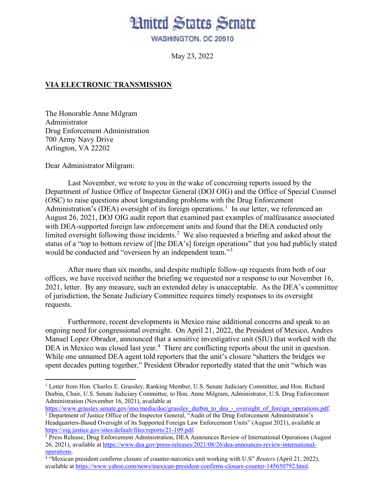## **Hnited States Senate**

WASHINGTON, DC 20510

May 23, 2022

## **VIA ELECTRONIC TRANSMISSION**

The Honorable Anne Milgram Administrator Drug Enforcement Administration 700 Army Navy Drive Arlington, VA 22202

Dear Administrator Milgram:

 $\overline{\phantom{a}}$ 

Last November, we wrote to you in the wake of concerning reports issued by the Department of Justice Office of Inspector General (DOJ OIG) and the Office of Special Counsel (OSC) to raise questions about longstanding problems with the Drug Enforcement Administration's (DEA) oversight of its foreign operations.<sup>[1](#page-0-0)</sup> In our letter, we referenced an August 26, 2021, DOJ OIG audit report that examined past examples of malfeasance associated with DEA-supported foreign law enforcement units and found that the DEA conducted only limited oversight following those incidents.<sup>[2](#page-0-1)</sup> We also requested a briefing and asked about the status of a "top to bottom review of [the DEA's] foreign operations" that you had publicly stated would be conducted and "overseen by an independent team."<sup>[3](#page-0-2)</sup>

After more than six months, and despite multiple follow-up requests from both of our offices, we have received neither the briefing we requested nor a response to our November 16, 2021, letter. By any measure, such an extended delay is unacceptable. As the DEA's committee of jurisdiction, the Senate Judiciary Committee requires timely responses to its oversight requests.

 Furthermore, recent developments in Mexico raise additional concerns and speak to an ongoing need for congressional oversight. On April 21, 2022, the President of Mexico, Andres Manuel Lopez Obrador, announced that a sensitive investigative unit (SIU) that worked with the DEA in Mexico was closed last year.<sup>[4](#page-0-3)</sup> There are conflicting reports about the unit in question. While one unnamed DEA agent told reporters that the unit's closure "shatters the bridges we spent decades putting together," President Obrador reportedly stated that the unit "which was

<span id="page-0-0"></span><sup>&</sup>lt;sup>1</sup> Letter from Hon. Charles E. Grassley, Ranking Member, U.S. Senate Judiciary Committee, and Hon. Richard Durbin, Chair, U.S. Senate Judiciary Committee, to Hon. Anne Milgram, Administrator, U.S. Drug Enforcement Administration (November 16, 2021), available at<br>https://www.grassley.senate.gov/imo/media/doc/grassley durbin to dea - oversight of foreign operations.pdf.

<span id="page-0-1"></span><sup>&</sup>lt;sup>2</sup> Department of Justice Office of the Inspector General, "Audit of the Drug Enforcement Administration's Headquarters-Based Oversight of its Supported Foreign Law Enforcement Units" (August 2021), available at https://oig.justice.gov/sites/default/files/reports/21-109.pdf.

<span id="page-0-2"></span><sup>&</sup>lt;sup>3</sup> Press Release, Drug Enforcement Administration, DEA Announces Review of International Operations (August 26, 2021), available a[t https://www.dea.gov/press-releases/2021/08/26/dea-announces-review-international](https://www.dea.gov/press-releases/2021/08/26/dea-announces-review-international-operations)[operations.](https://www.dea.gov/press-releases/2021/08/26/dea-announces-review-international-operations) 4

<span id="page-0-3"></span> <sup>&</sup>quot;Mexican president confirms closure of counter-narcotics unit working with U.S" *Reuters* (April 21, 2022), available at [https://www.yahoo.com/news/mexican-president-confirms-closure-counter-145650792.html.](https://www.yahoo.com/news/mexican-president-confirms-closure-counter-145650792.html)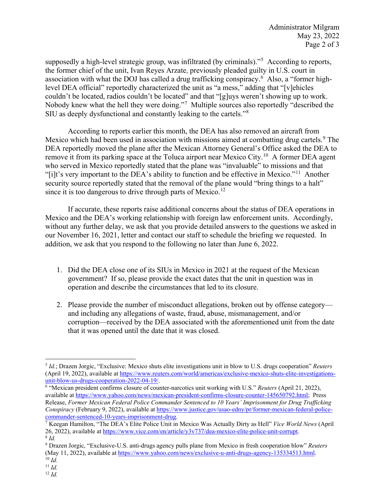supposedly a high-level strategic group, was infiltrated (by criminals)."<sup>[5](#page-1-0)</sup> According to reports, the former chief of the unit, Ivan Reyes Arzate, previously pleaded guilty in U.S. court in association with what the DOJ has called a drug trafficking conspiracy.<sup>[6](#page-1-1)</sup> Also, a "former highlevel DEA official" reportedly characterized the unit as "a mess," adding that "[v]ehicles couldn't be located, radios couldn't be located" and that "[g]uys weren't showing up to work. Nobody knew what the hell they were doing."<sup>[7](#page-1-2)</sup> Multiple sources also reportedly "described the SIU as deeply dysfunctional and constantly leaking to the cartels."[8](#page-1-3)

 According to reports earlier this month, the DEA has also removed an aircraft from Mexico which had been used in association with missions aimed at combatting drug cartels.<sup>[9](#page-1-4)</sup> The DEA reportedly moved the plane after the Mexican Attorney General's Office asked the DEA to remove it from its parking space at the Toluca airport near Mexico City.<sup>10</sup> A former DEA agent who served in Mexico reportedly stated that the plane was "invaluable" to missions and that "[i]t's very important to the DEA's ability to function and be effective in Mexico."[11](#page-1-6) Another security source reportedly stated that the removal of the plane would "bring things to a halt" since it is too dangerous to drive through parts of Mexico.<sup>12</sup>

If accurate, these reports raise additional concerns about the status of DEA operations in Mexico and the DEA's working relationship with foreign law enforcement units. Accordingly, without any further delay, we ask that you provide detailed answers to the questions we asked in our November 16, 2021, letter and contact our staff to schedule the briefing we requested. In addition, we ask that you respond to the following no later than June 6, 2022.

- 1. Did the DEA close one of its SIUs in Mexico in 2021 at the request of the Mexican government? If so, please provide the exact dates that the unit in question was in operation and describe the circumstances that led to its closure.
- 2. Please provide the number of misconduct allegations, broken out by offense category and including any allegations of waste, fraud, abuse, mismanagement, and/or corruption—received by the DEA associated with the aforementioned unit from the date that it was opened until the date that it was closed.

<span id="page-1-1"></span><sup>6</sup> "Mexican president confirms closure of counter-narcotics unit working with U.S." *Reuters* (April 21, 2022), available at [https://www.yahoo.com/news/mexican-president-confirms-closure-counter-145650792.html;](https://www.yahoo.com/news/mexican-president-confirms-closure-counter-145650792.html) Press Release, *Former Mexican Federal Police Commander Sentenced to 10 Years' Imprisonment for Drug Trafficking Conspiracy* (February 9, 2022), available at [https://www.justice.gov/usao-edny/pr/former-mexican-federal-police](https://www.justice.gov/usao-edny/pr/former-mexican-federal-police-commander-sentenced-10-years-imprisonment-drug)[commander-sentenced-10-years-imprisonment-drug.](https://www.justice.gov/usao-edny/pr/former-mexican-federal-police-commander-sentenced-10-years-imprisonment-drug) 7 Keegan Hamilton, "The DEA's Elite Police Unit in Mexico Was Actually Dirty as Hell" *Vice World News* (April

 $\overline{a}$ 

<span id="page-1-0"></span><sup>5</sup> *Id.*; Drazen Jorgic, "Exclusive: Mexico shuts elite investigations unit in blow to U.S. drugs cooperation" *Reuters*  (April 19, 2022), available a[t https://www.reuters.com/world/americas/exclusive-mexico-shuts-elite-investigations](https://www.reuters.com/world/americas/exclusive-mexico-shuts-elite-investigations-unit-blow-us-drugs-cooperation-2022-04-19/)[unit-blow-us-drugs-cooperation-2022-04-19/.](https://www.reuters.com/world/americas/exclusive-mexico-shuts-elite-investigations-unit-blow-us-drugs-cooperation-2022-04-19/) 6

<span id="page-1-2"></span><sup>26, 2022),</sup> available a[t https://www.vice.com/en/article/y3v737/dea-mexico-elite-police-unit-corrupt.](https://www.vice.com/en/article/y3v737/dea-mexico-elite-police-unit-corrupt) 8 *Id.*

<span id="page-1-4"></span><span id="page-1-3"></span><sup>9</sup> Drazen Jorgic, "Exclusive-U.S. anti-drugs agency pulls plane from Mexico in fresh cooperation blow" *Reuters*  (May 11, 2022), available at [https://www.yahoo.com/news/exclusive-u-anti-drugs-agency-135334513.html.](https://www.yahoo.com/news/exclusive-u-anti-drugs-agency-135334513.html) 10 *Id.*

<span id="page-1-5"></span>

<span id="page-1-7"></span><span id="page-1-6"></span><sup>11</sup> *Id.* <sup>12</sup> *Id.*